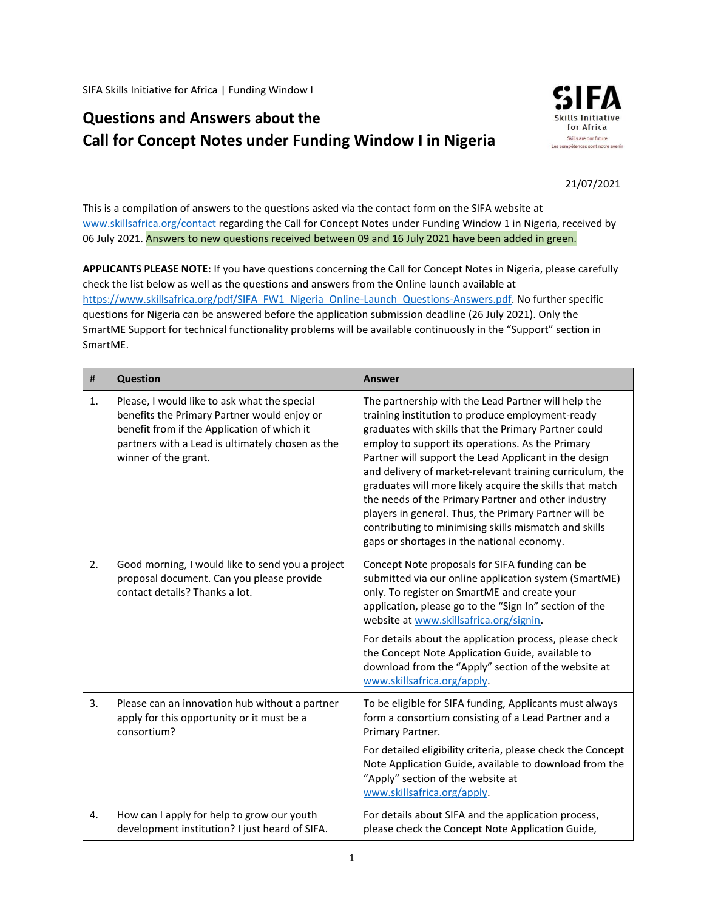SIFA Skills Initiative for Africa | Funding Window I

## **Questions and Answers about the Call for Concept Notes under Funding Window I in Nigeria**



## 21/07/2021

This is a compilation of answers to the questions asked via the contact form on the SIFA website at [www.skillsafrica.org/contact](http://www.skillsafrica.org/contact) regarding the Call for Concept Notes under Funding Window 1 in Nigeria, received by 06 July 2021. Answers to new questions received between 09 and 16 July 2021 have been added in green.

**APPLICANTS PLEASE NOTE:** If you have questions concerning the Call for Concept Notes in Nigeria, please carefully check the list below as well as the questions and answers from the Online launch available at [https://www.skillsafrica.org/pdf/SIFA\\_FW1\\_Nigeria\\_Online-Launch\\_Questions-Answers.pdf.](https://www.skillsafrica.org/pdf/SIFA_FW1_Nigeria_Online-Launch_Questions-Answers.pdf) No further specific questions for Nigeria can be answered before the application submission deadline (26 July 2021). Only the SmartME Support for technical functionality problems will be available continuously in the "Support" section in SmartME.

| $\#$           | <b>Question</b>                                                                                                                                                                                                        | <b>Answer</b>                                                                                                                                                                                                                                                                                                                                                                                                                                                                                                                                                                                                               |
|----------------|------------------------------------------------------------------------------------------------------------------------------------------------------------------------------------------------------------------------|-----------------------------------------------------------------------------------------------------------------------------------------------------------------------------------------------------------------------------------------------------------------------------------------------------------------------------------------------------------------------------------------------------------------------------------------------------------------------------------------------------------------------------------------------------------------------------------------------------------------------------|
| $\mathbf{1}$ . | Please, I would like to ask what the special<br>benefits the Primary Partner would enjoy or<br>benefit from if the Application of which it<br>partners with a Lead is ultimately chosen as the<br>winner of the grant. | The partnership with the Lead Partner will help the<br>training institution to produce employment-ready<br>graduates with skills that the Primary Partner could<br>employ to support its operations. As the Primary<br>Partner will support the Lead Applicant in the design<br>and delivery of market-relevant training curriculum, the<br>graduates will more likely acquire the skills that match<br>the needs of the Primary Partner and other industry<br>players in general. Thus, the Primary Partner will be<br>contributing to minimising skills mismatch and skills<br>gaps or shortages in the national economy. |
| 2.             | Good morning, I would like to send you a project<br>proposal document. Can you please provide<br>contact details? Thanks a lot.                                                                                        | Concept Note proposals for SIFA funding can be<br>submitted via our online application system (SmartME)<br>only. To register on SmartME and create your<br>application, please go to the "Sign In" section of the<br>website at www.skillsafrica.org/signin.<br>For details about the application process, please check<br>the Concept Note Application Guide, available to<br>download from the "Apply" section of the website at<br>www.skillsafrica.org/apply.                                                                                                                                                           |
| 3.             | Please can an innovation hub without a partner<br>apply for this opportunity or it must be a<br>consortium?                                                                                                            | To be eligible for SIFA funding, Applicants must always<br>form a consortium consisting of a Lead Partner and a<br>Primary Partner.<br>For detailed eligibility criteria, please check the Concept<br>Note Application Guide, available to download from the<br>"Apply" section of the website at<br>www.skillsafrica.org/apply.                                                                                                                                                                                                                                                                                            |
| 4.             | How can I apply for help to grow our youth<br>development institution? I just heard of SIFA.                                                                                                                           | For details about SIFA and the application process,<br>please check the Concept Note Application Guide,                                                                                                                                                                                                                                                                                                                                                                                                                                                                                                                     |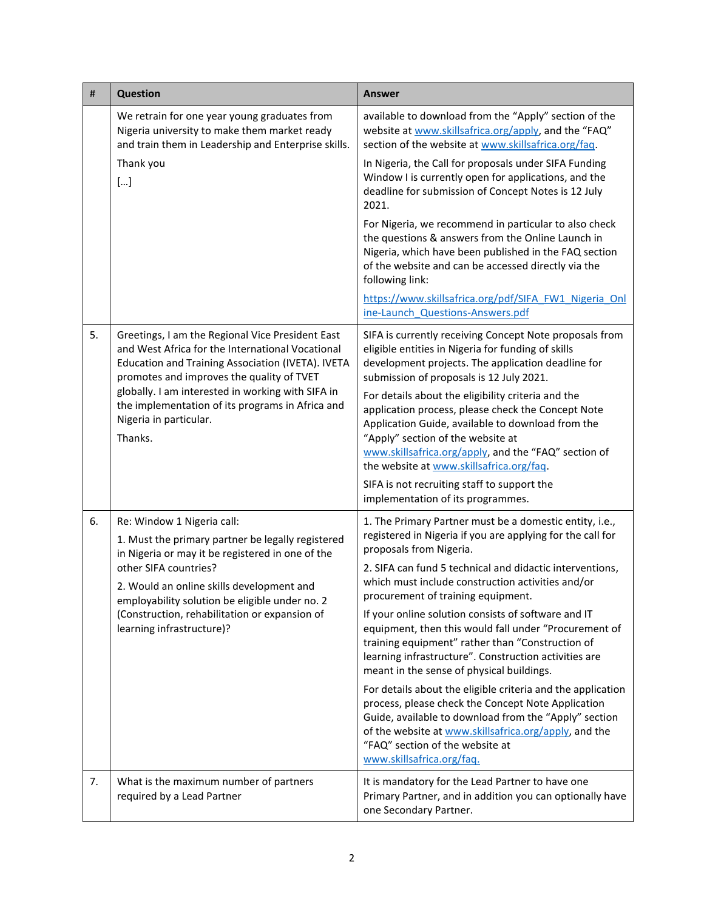| #  | <b>Question</b>                                                                                                                                                                                                                                                                                                                                      | <b>Answer</b>                                                                                                                                                                                                                                                                                          |
|----|------------------------------------------------------------------------------------------------------------------------------------------------------------------------------------------------------------------------------------------------------------------------------------------------------------------------------------------------------|--------------------------------------------------------------------------------------------------------------------------------------------------------------------------------------------------------------------------------------------------------------------------------------------------------|
|    | We retrain for one year young graduates from<br>Nigeria university to make them market ready<br>and train them in Leadership and Enterprise skills.                                                                                                                                                                                                  | available to download from the "Apply" section of the<br>website at www.skillsafrica.org/apply, and the "FAQ"<br>section of the website at www.skillsafrica.org/faq.                                                                                                                                   |
|    | Thank you<br>$[]$                                                                                                                                                                                                                                                                                                                                    | In Nigeria, the Call for proposals under SIFA Funding<br>Window I is currently open for applications, and the<br>deadline for submission of Concept Notes is 12 July<br>2021.                                                                                                                          |
|    |                                                                                                                                                                                                                                                                                                                                                      | For Nigeria, we recommend in particular to also check<br>the questions & answers from the Online Launch in<br>Nigeria, which have been published in the FAQ section<br>of the website and can be accessed directly via the<br>following link:                                                          |
|    |                                                                                                                                                                                                                                                                                                                                                      | https://www.skillsafrica.org/pdf/SIFA FW1 Nigeria Onl<br>ine-Launch Questions-Answers.pdf                                                                                                                                                                                                              |
| 5. | Greetings, I am the Regional Vice President East<br>and West Africa for the International Vocational<br>Education and Training Association (IVETA). IVETA<br>promotes and improves the quality of TVET<br>globally. I am interested in working with SIFA in<br>the implementation of its programs in Africa and<br>Nigeria in particular.<br>Thanks. | SIFA is currently receiving Concept Note proposals from<br>eligible entities in Nigeria for funding of skills<br>development projects. The application deadline for<br>submission of proposals is 12 July 2021.                                                                                        |
|    |                                                                                                                                                                                                                                                                                                                                                      | For details about the eligibility criteria and the<br>application process, please check the Concept Note<br>Application Guide, available to download from the<br>"Apply" section of the website at<br>www.skillsafrica.org/apply, and the "FAQ" section of<br>the website at www.skillsafrica.org/faq. |
|    |                                                                                                                                                                                                                                                                                                                                                      | SIFA is not recruiting staff to support the<br>implementation of its programmes.                                                                                                                                                                                                                       |
| 6. | Re: Window 1 Nigeria call:<br>1. Must the primary partner be legally registered<br>in Nigeria or may it be registered in one of the<br>other SIFA countries?<br>2. Would an online skills development and<br>employability solution be eligible under no. 2<br>(Construction, rehabilitation or expansion of<br>learning infrastructure)?            | 1. The Primary Partner must be a domestic entity, i.e.,<br>registered in Nigeria if you are applying for the call for<br>proposals from Nigeria.                                                                                                                                                       |
|    |                                                                                                                                                                                                                                                                                                                                                      | 2. SIFA can fund 5 technical and didactic interventions,<br>which must include construction activities and/or<br>procurement of training equipment.                                                                                                                                                    |
|    |                                                                                                                                                                                                                                                                                                                                                      | If your online solution consists of software and IT<br>equipment, then this would fall under "Procurement of<br>training equipment" rather than "Construction of<br>learning infrastructure". Construction activities are<br>meant in the sense of physical buildings.                                 |
|    |                                                                                                                                                                                                                                                                                                                                                      | For details about the eligible criteria and the application<br>process, please check the Concept Note Application<br>Guide, available to download from the "Apply" section<br>of the website at www.skillsafrica.org/apply, and the<br>"FAQ" section of the website at<br>www.skillsafrica.org/faq.    |
| 7. | What is the maximum number of partners<br>required by a Lead Partner                                                                                                                                                                                                                                                                                 | It is mandatory for the Lead Partner to have one<br>Primary Partner, and in addition you can optionally have<br>one Secondary Partner.                                                                                                                                                                 |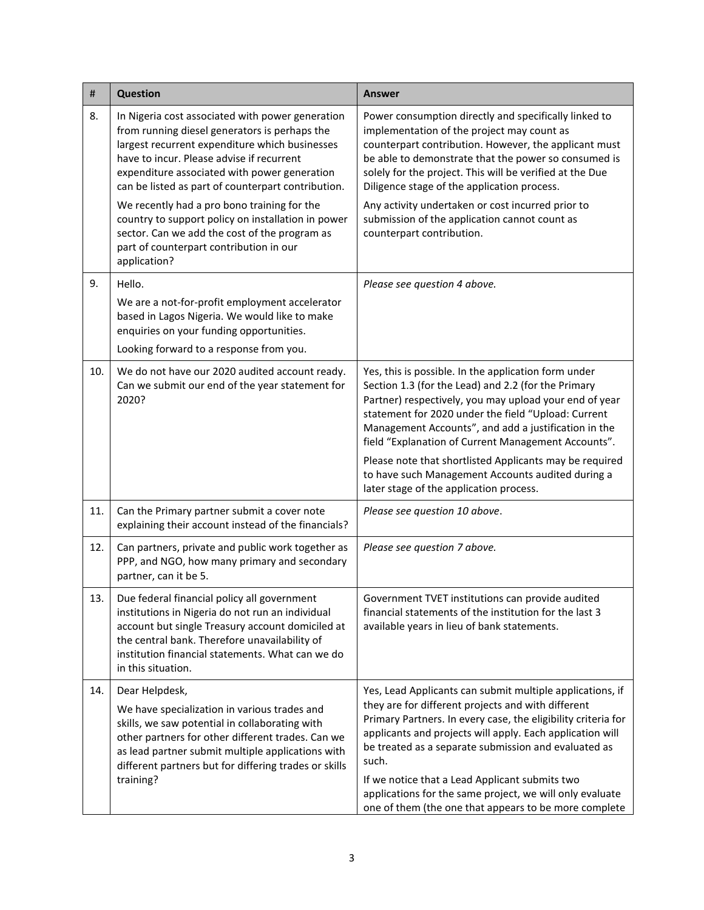| $\sharp$ | <b>Question</b>                                                                                                                                                                                                                                                                                        | <b>Answer</b>                                                                                                                                                                                                                                                                                                                               |
|----------|--------------------------------------------------------------------------------------------------------------------------------------------------------------------------------------------------------------------------------------------------------------------------------------------------------|---------------------------------------------------------------------------------------------------------------------------------------------------------------------------------------------------------------------------------------------------------------------------------------------------------------------------------------------|
| 8.       | In Nigeria cost associated with power generation<br>from running diesel generators is perhaps the<br>largest recurrent expenditure which businesses<br>have to incur. Please advise if recurrent<br>expenditure associated with power generation<br>can be listed as part of counterpart contribution. | Power consumption directly and specifically linked to<br>implementation of the project may count as<br>counterpart contribution. However, the applicant must<br>be able to demonstrate that the power so consumed is<br>solely for the project. This will be verified at the Due<br>Diligence stage of the application process.             |
|          | We recently had a pro bono training for the<br>country to support policy on installation in power<br>sector. Can we add the cost of the program as<br>part of counterpart contribution in our<br>application?                                                                                          | Any activity undertaken or cost incurred prior to<br>submission of the application cannot count as<br>counterpart contribution.                                                                                                                                                                                                             |
| 9.       | Hello.                                                                                                                                                                                                                                                                                                 | Please see question 4 above.                                                                                                                                                                                                                                                                                                                |
|          | We are a not-for-profit employment accelerator<br>based in Lagos Nigeria. We would like to make<br>enquiries on your funding opportunities.<br>Looking forward to a response from you.                                                                                                                 |                                                                                                                                                                                                                                                                                                                                             |
| 10.      | We do not have our 2020 audited account ready.<br>Can we submit our end of the year statement for<br>2020?                                                                                                                                                                                             | Yes, this is possible. In the application form under<br>Section 1.3 (for the Lead) and 2.2 (for the Primary<br>Partner) respectively, you may upload your end of year<br>statement for 2020 under the field "Upload: Current<br>Management Accounts", and add a justification in the<br>field "Explanation of Current Management Accounts". |
|          |                                                                                                                                                                                                                                                                                                        | Please note that shortlisted Applicants may be required<br>to have such Management Accounts audited during a<br>later stage of the application process.                                                                                                                                                                                     |
| 11.      | Can the Primary partner submit a cover note<br>explaining their account instead of the financials?                                                                                                                                                                                                     | Please see question 10 above.                                                                                                                                                                                                                                                                                                               |
| 12.      | Can partners, private and public work together as<br>PPP, and NGO, how many primary and secondary<br>partner, can it be 5.                                                                                                                                                                             | Please see question 7 above.                                                                                                                                                                                                                                                                                                                |
| 13.      | Due federal financial policy all government<br>institutions in Nigeria do not run an individual<br>account but single Treasury account domiciled at<br>the central bank. Therefore unavailability of<br>institution financial statements. What can we do<br>in this situation.                         | Government TVET institutions can provide audited<br>financial statements of the institution for the last 3<br>available years in lieu of bank statements.                                                                                                                                                                                   |
| 14.      | Dear Helpdesk,                                                                                                                                                                                                                                                                                         | Yes, Lead Applicants can submit multiple applications, if<br>they are for different projects and with different                                                                                                                                                                                                                             |
|          | We have specialization in various trades and<br>skills, we saw potential in collaborating with<br>other partners for other different trades. Can we<br>as lead partner submit multiple applications with<br>different partners but for differing trades or skills<br>training?                         | Primary Partners. In every case, the eligibility criteria for<br>applicants and projects will apply. Each application will<br>be treated as a separate submission and evaluated as<br>such.                                                                                                                                                 |
|          |                                                                                                                                                                                                                                                                                                        | If we notice that a Lead Applicant submits two<br>applications for the same project, we will only evaluate<br>one of them (the one that appears to be more complete                                                                                                                                                                         |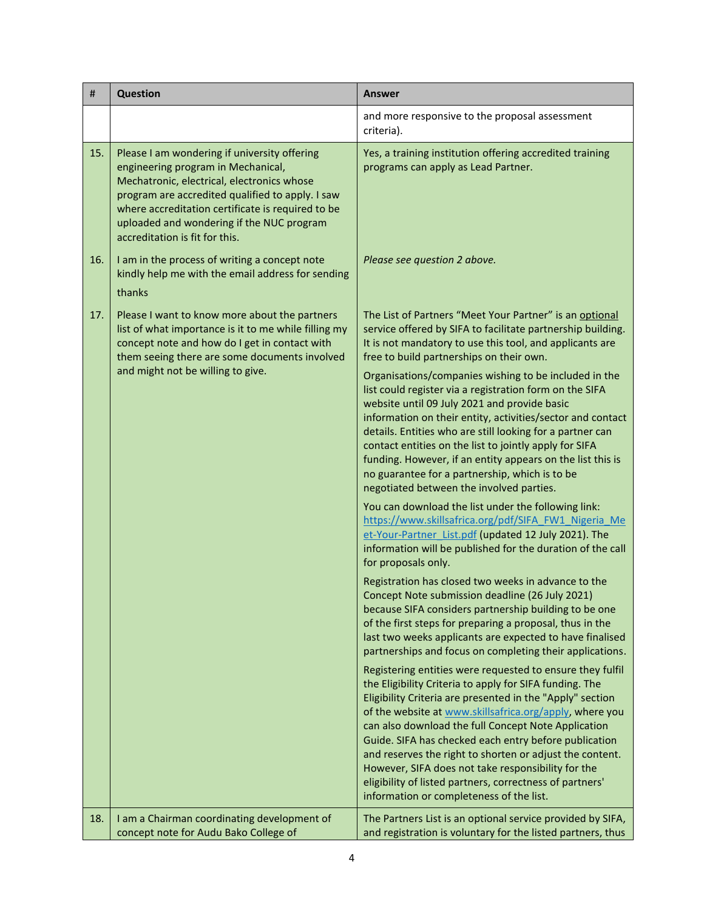| #   | <b>Question</b>                                                                                                                                                                                                                                                                                                          | <b>Answer</b>                                                                                                                                                                                                                                                                                                                                                                                                                                                                                                                                                                          |
|-----|--------------------------------------------------------------------------------------------------------------------------------------------------------------------------------------------------------------------------------------------------------------------------------------------------------------------------|----------------------------------------------------------------------------------------------------------------------------------------------------------------------------------------------------------------------------------------------------------------------------------------------------------------------------------------------------------------------------------------------------------------------------------------------------------------------------------------------------------------------------------------------------------------------------------------|
|     |                                                                                                                                                                                                                                                                                                                          | and more responsive to the proposal assessment<br>criteria).                                                                                                                                                                                                                                                                                                                                                                                                                                                                                                                           |
| 15. | Please I am wondering if university offering<br>engineering program in Mechanical,<br>Mechatronic, electrical, electronics whose<br>program are accredited qualified to apply. I saw<br>where accreditation certificate is required to be<br>uploaded and wondering if the NUC program<br>accreditation is fit for this. | Yes, a training institution offering accredited training<br>programs can apply as Lead Partner.                                                                                                                                                                                                                                                                                                                                                                                                                                                                                        |
| 16. | I am in the process of writing a concept note<br>kindly help me with the email address for sending<br>thanks                                                                                                                                                                                                             | Please see question 2 above.                                                                                                                                                                                                                                                                                                                                                                                                                                                                                                                                                           |
| 17. | Please I want to know more about the partners<br>list of what importance is it to me while filling my<br>concept note and how do I get in contact with<br>them seeing there are some documents involved                                                                                                                  | The List of Partners "Meet Your Partner" is an optional<br>service offered by SIFA to facilitate partnership building.<br>It is not mandatory to use this tool, and applicants are<br>free to build partnerships on their own.                                                                                                                                                                                                                                                                                                                                                         |
|     | and might not be willing to give.                                                                                                                                                                                                                                                                                        | Organisations/companies wishing to be included in the<br>list could register via a registration form on the SIFA<br>website until 09 July 2021 and provide basic<br>information on their entity, activities/sector and contact<br>details. Entities who are still looking for a partner can<br>contact entities on the list to jointly apply for SIFA<br>funding. However, if an entity appears on the list this is<br>no guarantee for a partnership, which is to be<br>negotiated between the involved parties.                                                                      |
|     |                                                                                                                                                                                                                                                                                                                          | You can download the list under the following link:<br>https://www.skillsafrica.org/pdf/SIFA FW1 Nigeria Me<br>et-Your-Partner_List.pdf (updated 12 July 2021). The<br>information will be published for the duration of the call<br>for proposals only.                                                                                                                                                                                                                                                                                                                               |
|     |                                                                                                                                                                                                                                                                                                                          | Registration has closed two weeks in advance to the<br>Concept Note submission deadline (26 July 2021)<br>because SIFA considers partnership building to be one<br>of the first steps for preparing a proposal, thus in the<br>last two weeks applicants are expected to have finalised<br>partnerships and focus on completing their applications.                                                                                                                                                                                                                                    |
|     |                                                                                                                                                                                                                                                                                                                          | Registering entities were requested to ensure they fulfil<br>the Eligibility Criteria to apply for SIFA funding. The<br>Eligibility Criteria are presented in the "Apply" section<br>of the website at www.skillsafrica.org/apply, where you<br>can also download the full Concept Note Application<br>Guide. SIFA has checked each entry before publication<br>and reserves the right to shorten or adjust the content.<br>However, SIFA does not take responsibility for the<br>eligibility of listed partners, correctness of partners'<br>information or completeness of the list. |
| 18. | I am a Chairman coordinating development of<br>concept note for Audu Bako College of                                                                                                                                                                                                                                     | The Partners List is an optional service provided by SIFA,<br>and registration is voluntary for the listed partners, thus                                                                                                                                                                                                                                                                                                                                                                                                                                                              |